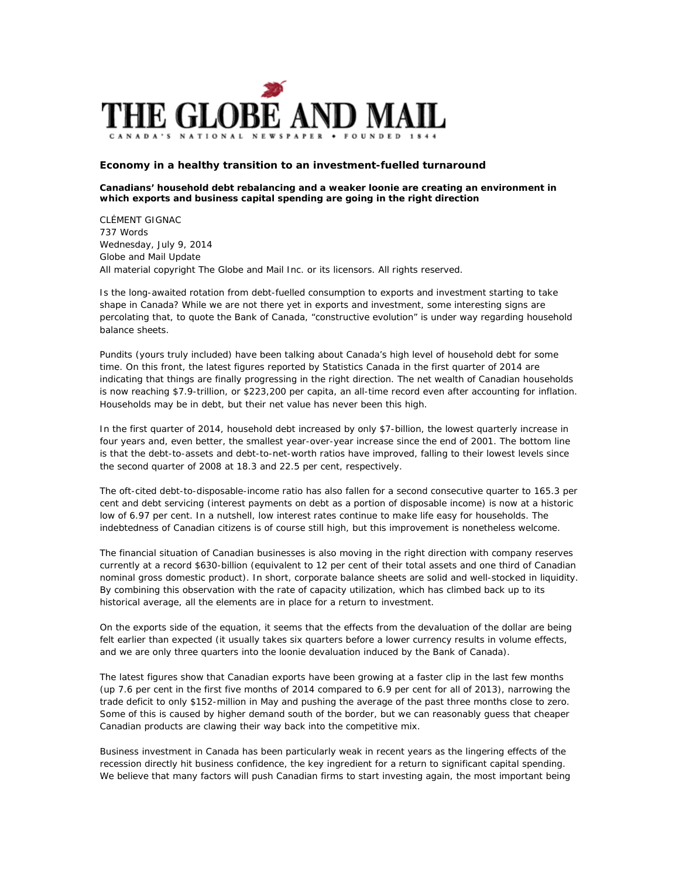

## **Economy in a healthy transition to an investment-fuelled turnaround**

## **Canadians' household debt rebalancing and a weaker loonie are creating an environment in which exports and business capital spending are going in the right direction**

CLÉMENT GIGNAC 737 Words Wednesday, July 9, 2014 Globe and Mail Update All material copyright The Globe and Mail Inc. or its licensors. All rights reserved.

Is the long-awaited rotation from debt-fuelled consumption to exports and investment starting to take shape in Canada? While we are not there yet in exports and investment, some interesting signs are percolating that, to quote the Bank of Canada, "constructive evolution" is under way regarding household balance sheets.

Pundits (yours truly included) have been talking about Canada's high level of household debt for some time. On this front, the latest figures reported by Statistics Canada in the first quarter of 2014 are indicating that things are finally progressing in the right direction. The net wealth of Canadian households is now reaching \$7.9-trillion, or \$223,200 per capita, an all-time record even after accounting for inflation. Households may be in debt, but their net value has never been this high.

In the first quarter of 2014, household debt increased by only \$7-billion, the lowest quarterly increase in four years and, even better, the smallest year-over-year increase since the end of 2001. The bottom line is that the debt-to-assets and debt-to-net-worth ratios have improved, falling to their lowest levels since the second quarter of 2008 at 18.3 and 22.5 per cent, respectively.

The oft-cited debt-to-disposable-income ratio has also fallen for a second consecutive quarter to 165.3 per cent and debt servicing (interest payments on debt as a portion of disposable income) is now at a historic low of 6.97 per cent. In a nutshell, low interest rates continue to make life easy for households. The indebtedness of Canadian citizens is of course still high, but this improvement is nonetheless welcome.

The financial situation of Canadian businesses is also moving in the right direction with company reserves currently at a record \$630-billion (equivalent to 12 per cent of their total assets and one third of Canadian nominal gross domestic product). In short, corporate balance sheets are solid and well-stocked in liquidity. By combining this observation with the rate of capacity utilization, which has climbed back up to its historical average, all the elements are in place for a return to investment.

On the exports side of the equation, it seems that the effects from the devaluation of the dollar are being felt earlier than expected (it usually takes six quarters before a lower currency results in volume effects, and we are only three quarters into the loonie devaluation induced by the Bank of Canada).

The latest figures show that Canadian exports have been growing at a faster clip in the last few months (up 7.6 per cent in the first five months of 2014 compared to 6.9 per cent for all of 2013), narrowing the trade deficit to only \$152-million in May and pushing the average of the past three months close to zero. Some of this is caused by higher demand south of the border, but we can reasonably guess that cheaper Canadian products are clawing their way back into the competitive mix.

Business investment in Canada has been particularly weak in recent years as the lingering effects of the recession directly hit business confidence, the key ingredient for a return to significant capital spending. We believe that many factors will push Canadian firms to start investing again, the most important being